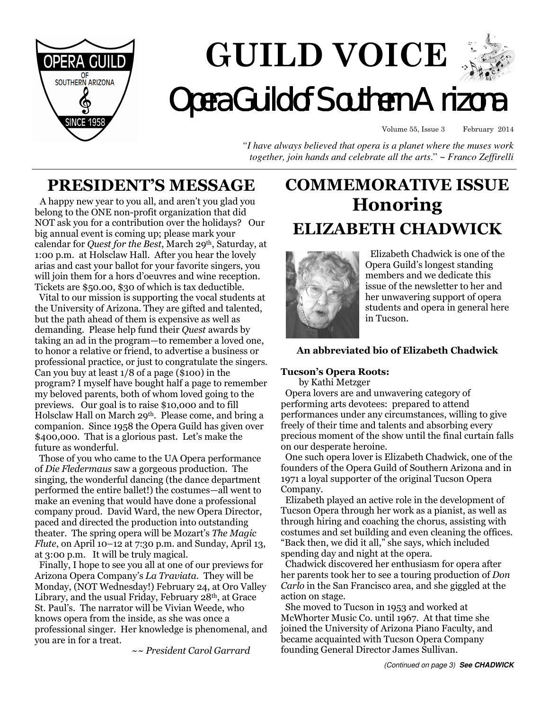

# **GUILD VOICE Opera Guild of Southern Arizon**

Volume 55, Issue 3 February 2014

*"I have always believed that opera is a planet where the muses work together, join hands and celebrate all the arts*." ~ *Franco Zeffirelli*

## **PRESIDENT'S MESSAGE**

 A happy new year to you all, and aren't you glad you belong to the ONE non-profit organization that did NOT ask you for a contribution over the holidays? Our big annual event is coming up; please mark your calendar for *Quest for the Best*, March 29th, Saturday, at 1:00 p.m. at Holsclaw Hall. After you hear the lovely arias and cast your ballot for your favorite singers, you will join them for a hors d'oeuvres and wine reception. Tickets are \$50.00, \$30 of which is tax deductible.

 Vital to our mission is supporting the vocal students at the University of Arizona. They are gifted and talented, but the path ahead of them is expensive as well as demanding. Please help fund their *Quest* awards by taking an ad in the program—to remember a loved one, to honor a relative or friend, to advertise a business or professional practice, or just to congratulate the singers. Can you buy at least 1/8 of a page (\$100) in the program? I myself have bought half a page to remember my beloved parents, both of whom loved going to the previews. Our goal is to raise \$10,000 and to fill Holsclaw Hall on March 29<sup>th</sup>. Please come, and bring a companion. Since 1958 the Opera Guild has given over \$400,000. That is a glorious past. Let's make the future as wonderful.

 Those of you who came to the UA Opera performance of *Die Fledermaus* saw a gorgeous production. The singing, the wonderful dancing (the dance department performed the entire ballet!) the costumes—all went to make an evening that would have done a professional company proud. David Ward, the new Opera Director, paced and directed the production into outstanding theater. The spring opera will be Mozart's *The Magic Flute*, on April 10–12 at 7:30 p.m. and Sunday, April 13, at 3:00 p.m. It will be truly magical.

 Finally, I hope to see you all at one of our previews for Arizona Opera Company's *La Traviata*. They will be Monday, (NOT Wednesday!) February 24, at Oro Valley Library, and the usual Friday, February 28<sup>th</sup>, at Grace St. Paul's. The narrator will be Vivian Weede, who knows opera from the inside, as she was once a professional singer. Her knowledge is phenomenal, and you are in for a treat.

 *~~ President Carol Garrard*

# **COMMEMORATIVE ISSUE Honoring ELIZABETH CHADWICK**



 Elizabeth Chadwick is one of the Opera Guild's longest standing members and we dedicate this issue of the newsletter to her and her unwavering support of opera students and opera in general here in Tucson.

### **An abbreviated bio of Elizabeth Chadwick**

#### **Tucson's Opera Roots:**

by Kathi Metzger

 Opera lovers are and unwavering category of performing arts devotees: prepared to attend performances under any circumstances, willing to give freely of their time and talents and absorbing every precious moment of the show until the final curtain falls on our desperate heroine.

 One such opera lover is Elizabeth Chadwick, one of the founders of the Opera Guild of Southern Arizona and in 1971 a loyal supporter of the original Tucson Opera Company.

 Elizabeth played an active role in the development of Tucson Opera through her work as a pianist, as well as through hiring and coaching the chorus, assisting with costumes and set building and even cleaning the offices. "Back then, we did it all," she says, which included spending day and night at the opera.

 Chadwick discovered her enthusiasm for opera after her parents took her to see a touring production of *Don Carlo* in the San Francisco area, and she giggled at the action on stage.

 She moved to Tucson in 1953 and worked at McWhorter Music Co. until 1967. At that time she joined the University of Arizona Piano Faculty, and became acquainted with Tucson Opera Company founding General Director James Sullivan.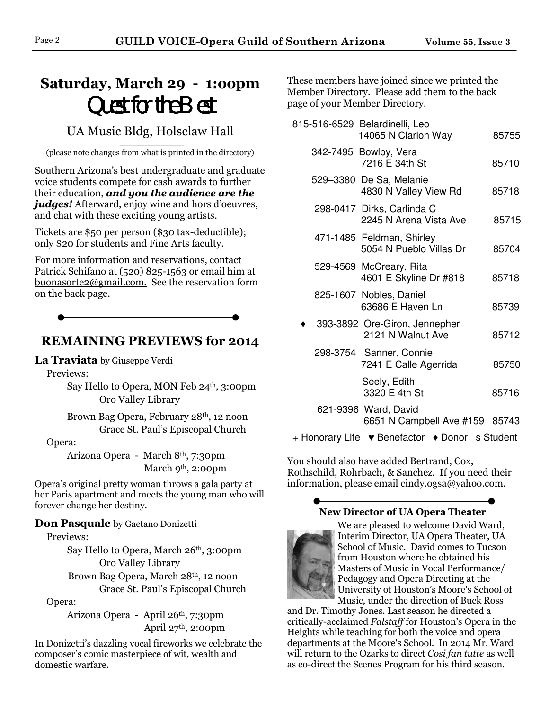# **Saturday, March 29 - 1:oopm** Quest for the Best

## UA Music Bldg, Holsclaw Hall

\_\_\_\_\_\_\_\_\_\_\_\_\_\_\_\_\_\_\_\_\_\_\_ (please note changes from what is printed in the directory)

Southern Arizona's best undergraduate and graduate voice students compete for cash awards to further their education, *and you the audience are the judges!* Afterward, enjoy wine and hors d'oeuvres, and chat with these exciting young artists.

Tickets are \$50 per person (\$30 tax-deductible); only \$20 for students and Fine Arts faculty.

For more information and reservations, contact Patrick Schifano at (520) 825-1563 or email him at buonasorte2@gmail.com. See the reservation form on the back page.

## **REMAINING PREVIEWS for 2014**

**La Traviata** by Giuseppe Verdi

Previews:

 Say Hello to Opera, MON Feb 24th, 3:00pm Oro Valley Library

 Brown Bag Opera, February 28th, 12 noon Grace St. Paul's Episcopal Church

Opera:

 Arizona Opera - March 8th, 7:30pm March 9<sup>th</sup>, 2:00pm

Opera's original pretty woman throws a gala party at her Paris apartment and meets the young man who will forever change her destiny.

**Don Pasquale** by Gaetano Donizetti

Previews:

 Say Hello to Opera, March 26th, 3:00pm Oro Valley Library

 Brown Bag Opera, March 28th, 12 noon Grace St. Paul's Episcopal Church

Opera:

 Arizona Opera - April 26th, 7:30pm April  $27<sup>th</sup>$ , 2:00pm

In Donizetti's dazzling vocal fireworks we celebrate the composer's comic masterpiece of wit, wealth and domestic warfare.

These members have joined since we printed the Member Directory. Please add them to the back page of your Member Directory.

| 815-516-6529 Belardinelli, Leo<br>14065 N Clarion Way    | 85755  |
|----------------------------------------------------------|--------|
| 342-7495 Bowlby, Vera<br>7216 E 34th St                  | 85710  |
| 529–3380 De Sa, Melanie<br>4830 N Valley View Rd         | 85718  |
| 298-0417 Dirks, Carlinda C<br>2245 N Arena Vista Ave     | 85715  |
| 471-1485 Feldman, Shirley<br>5054 N Pueblo Villas Dr     | 85704  |
| 529-4569 McCreary, Rita<br>4601 E Skyline Dr #818        | 85718  |
| 825-1607 Nobles, Daniel<br>63686 E Haven Ln              | 85739  |
| 393-3892 Ore-Giron, Jennepher<br>2121 N Walnut Ave       | 85712  |
| 298-3754 Sanner, Connie<br>7241 E Calle Agerrida         | 85750  |
| Seely, Edith<br>3320 E 4th St                            | 85716  |
| 621-9396 Ward, David<br>$OCH$ ALO $S$ and $A$ is $H$ $H$ | 0.0000 |

6651 N Campbell Ave #159 85743

+ Honorary Life ♥ Benefactor ♦ Donor s Student

You should also have added Bertrand, Cox, Rothschild, Rohrbach, & Sanchez. If you need their information, please email cindy.ogsa@yahoo.com.

## **New Director of UA Opera Theater**



We are pleased to welcome David Ward, Interim Director, UA Opera Theater, UA School of Music. David comes to Tucson from Houston where he obtained his Masters of Music in Vocal Performance/ Pedagogy and Opera Directing at the University of Houston's Moore's School of Music, under the direction of Buck Ross

and Dr. Timothy Jones. Last season he directed a critically-acclaimed *Falstaff* for Houston's Opera in the Heights while teaching for both the voice and opera departments at the Moore's School. In 2014 Mr. Ward will return to the Ozarks to direct *Cosi fan tutte* as well as co-direct the Scenes Program for his third season.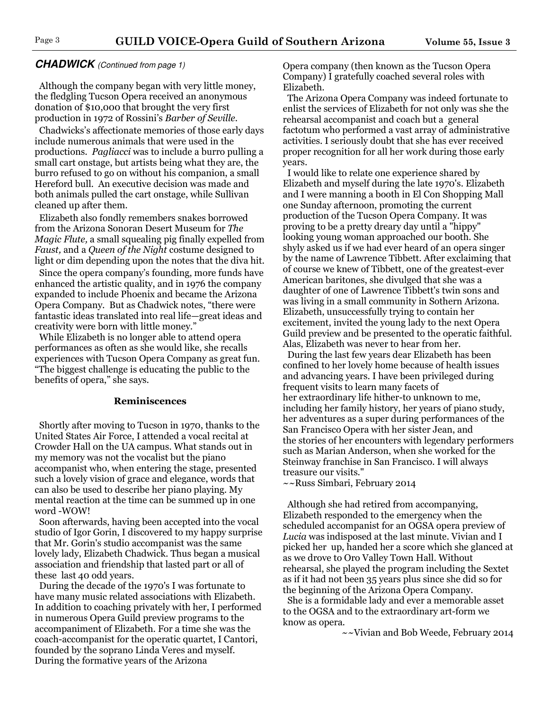#### **CHADWICK** (Continued from page 1)

 Although the company began with very little money, the fledgling Tucson Opera received an anonymous donation of \$10,000 that brought the very first production in 1972 of Rossini's *Barber of Seville.*

 Chadwicks's affectionate memories of those early days include numerous animals that were used in the productions. *Pagliacci* was to include a burro pulling a small cart onstage, but artists being what they are, the burro refused to go on without his companion, a small Hereford bull. An executive decision was made and both animals pulled the cart onstage, while Sullivan cleaned up after them.

 Elizabeth also fondly remembers snakes borrowed from the Arizona Sonoran Desert Museum for *The Magic Flute,* a small squealing pig finally expelled from *Faust,* and a *Queen of the Night* costume designed to light or dim depending upon the notes that the diva hit.

 Since the opera company's founding, more funds have enhanced the artistic quality, and in 1976 the company expanded to include Phoenix and became the Arizona Opera Company. But as Chadwick notes, "there were fantastic ideas translated into real life—great ideas and creativity were born with little money."

 While Elizabeth is no longer able to attend opera performances as often as she would like, she recalls experiences with Tucson Opera Company as great fun. "The biggest challenge is educating the public to the benefits of opera," she says.

#### **Reminiscences**

 Shortly after moving to Tucson in 1970, thanks to the United States Air Force, I attended a vocal recital at Crowder Hall on the UA campus. What stands out in my memory was not the vocalist but the piano accompanist who, when entering the stage, presented such a lovely vision of grace and elegance, words that can also be used to describe her piano playing. My mental reaction at the time can be summed up in one word -WOW!

 Soon afterwards, having been accepted into the vocal studio of Igor Gorin, I discovered to my happy surprise that Mr. Gorin's studio accompanist was the same lovely lady, Elizabeth Chadwick. Thus began a musical association and friendship that lasted part or all of these last 40 odd years.

 During the decade of the 1970's I was fortunate to have many music related associations with Elizabeth. In addition to coaching privately with her, I performed in numerous Opera Guild preview programs to the accompaniment of Elizabeth. For a time she was the coach-accompanist for the operatic quartet, I Cantori, founded by the soprano Linda Veres and myself. During the formative years of the Arizona

Opera company (then known as the Tucson Opera Company) I gratefully coached several roles with Elizabeth.

 The Arizona Opera Company was indeed fortunate to enlist the services of Elizabeth for not only was she the rehearsal accompanist and coach but a general factotum who performed a vast array of administrative activities. I seriously doubt that she has ever received proper recognition for all her work during those early years.

 I would like to relate one experience shared by Elizabeth and myself during the late 1970's. Elizabeth and I were manning a booth in El Con Shopping Mall one Sunday afternoon, promoting the current production of the Tucson Opera Company. It was proving to be a pretty dreary day until a "hippy" looking young woman approached our booth. She shyly asked us if we had ever heard of an opera singer by the name of Lawrence Tibbett. After exclaiming that of course we knew of Tibbett, one of the greatest-ever American baritones, she divulged that she was a daughter of one of Lawrence Tibbett's twin sons and was living in a small community in Sothern Arizona. Elizabeth, unsuccessfully trying to contain her excitement, invited the young lady to the next Opera Guild preview and be presented to the operatic faithful. Alas, Elizabeth was never to hear from her.

 During the last few years dear Elizabeth has been confined to her lovely home because of health issues and advancing years. I have been privileged during frequent visits to learn many facets of her extraordinary life hither-to unknown to me, including her family history, her years of piano study, her adventures as a super during performances of the San Francisco Opera with her sister Jean, and the stories of her encounters with legendary performers such as Marian Anderson, when she worked for the Steinway franchise in San Francisco. I will always treasure our visits."

~~Russ Simbari, February 2014

 Although she had retired from accompanying, Elizabeth responded to the emergency when the scheduled accompanist for an OGSA opera preview of *Lucia* was indisposed at the last minute. Vivian and I picked her up, handed her a score which she glanced at as we drove to Oro Valley Town Hall. Without rehearsal, she played the program including the Sextet as if it had not been 35 years plus since she did so for the beginning of the Arizona Opera Company. She is a formidable lady and ever a memorable asset

to the OGSA and to the extraordinary art-form we know as opera.

~~Vivian and Bob Weede, February 2014